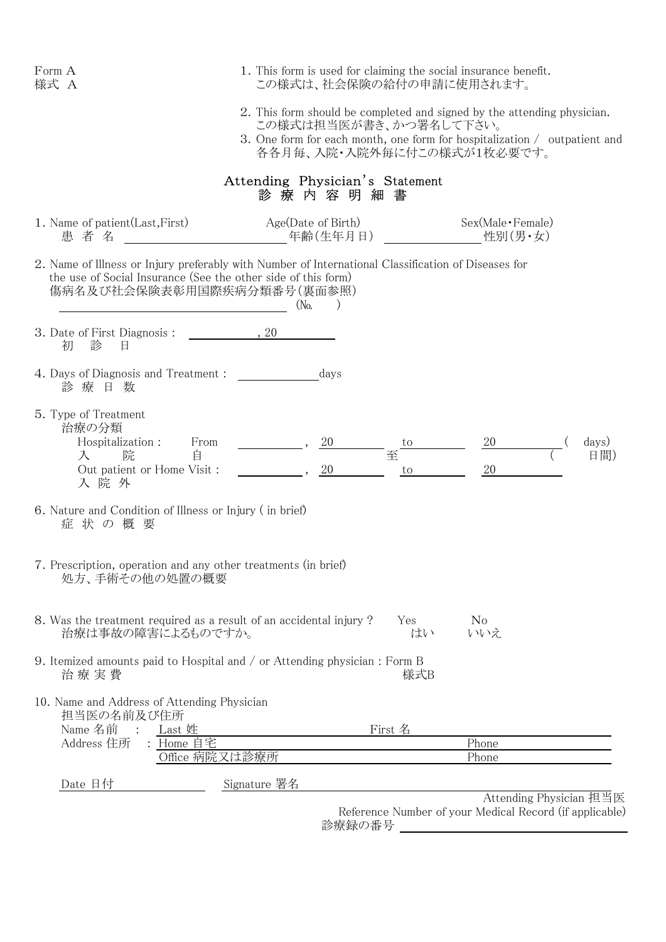| Form A<br>様式 A                                                                                                                                                                                     | 1. This form is used for claiming the social insurance benefit.<br>この様式は、社会保険の給付の申請に使用されます。                                                                                                                  |               |                                                                                    |
|----------------------------------------------------------------------------------------------------------------------------------------------------------------------------------------------------|--------------------------------------------------------------------------------------------------------------------------------------------------------------------------------------------------------------|---------------|------------------------------------------------------------------------------------|
|                                                                                                                                                                                                    | 2. This form should be completed and signed by the attending physician.<br>この様式は担当医が書き、かつ署名して下さい。<br>3. One form for each month, one form for hospitalization / outpatient and<br>各各月毎、入院・入院外毎に付この様式が1枚必要です。 |               |                                                                                    |
|                                                                                                                                                                                                    | Attending Physician's Statement<br>診 療 内 容 明 細 書                                                                                                                                                             |               |                                                                                    |
| 1. Name of patient (Last, First)<br>患者名                                                                                                                                                            | Age(Date of Birth)<br>年齢(生年月日)                                                                                                                                                                               |               | Sex(Male · Female)<br>性別(男・女)                                                      |
| 2. Name of Illness or Injury preferably with Number of International Classification of Diseases for<br>the use of Social Insurance (See the other side of this form)<br>傷病名及び社会保険表彰用国際疾病分類番号(裏面参照) | $(N_0,$                                                                                                                                                                                                      |               |                                                                                    |
| 3. Date of First Diagnosis:<br>診<br>初<br>日                                                                                                                                                         | $\therefore 20$                                                                                                                                                                                              |               |                                                                                    |
| 4. Days of Diagnosis and Treatment:<br>診療日数                                                                                                                                                        | days                                                                                                                                                                                                         |               |                                                                                    |
| 5. Type of Treatment<br>治療の分類<br>Hospitalization :<br>From<br>自<br>院<br>入<br>Out patient or Home Visit :<br>入院外                                                                                    | 20                                                                                                                                                                                                           | to<br>至<br>to | 20<br>days)<br>日間)<br>20                                                           |
| 6. Nature and Condition of Illness or Injury (in brief)<br>症 状 の 概 要                                                                                                                               |                                                                                                                                                                                                              |               |                                                                                    |
| 7. Prescription, operation and any other treatments (in brief)<br>処方、手術その他の処置の概要                                                                                                                   |                                                                                                                                                                                                              |               |                                                                                    |
| 8. Was the treatment required as a result of an accidental injury?<br>治療は事故の障害によるものですか。                                                                                                            |                                                                                                                                                                                                              | Yes<br>はい     | N <sub>0</sub><br>いいえ                                                              |
| 9. Itemized amounts paid to Hospital and / or Attending physician : Form B<br>治 療 実 費                                                                                                              |                                                                                                                                                                                                              | 様式B           |                                                                                    |
| 10. Name and Address of Attending Physician<br>担当医の名前及び住所<br>Name 名前<br>Last 姓                                                                                                                     |                                                                                                                                                                                                              | First 名       |                                                                                    |
| Address 住所<br>Home 自宅<br>Office 病院又は診療所                                                                                                                                                            |                                                                                                                                                                                                              |               | Phone<br>Phone                                                                     |
| Date 日付                                                                                                                                                                                            | Signature 署名                                                                                                                                                                                                 |               |                                                                                    |
|                                                                                                                                                                                                    |                                                                                                                                                                                                              |               | Attending Physician 担当医<br>Reference Number of your Medical Record (if applicable) |

診療録の番号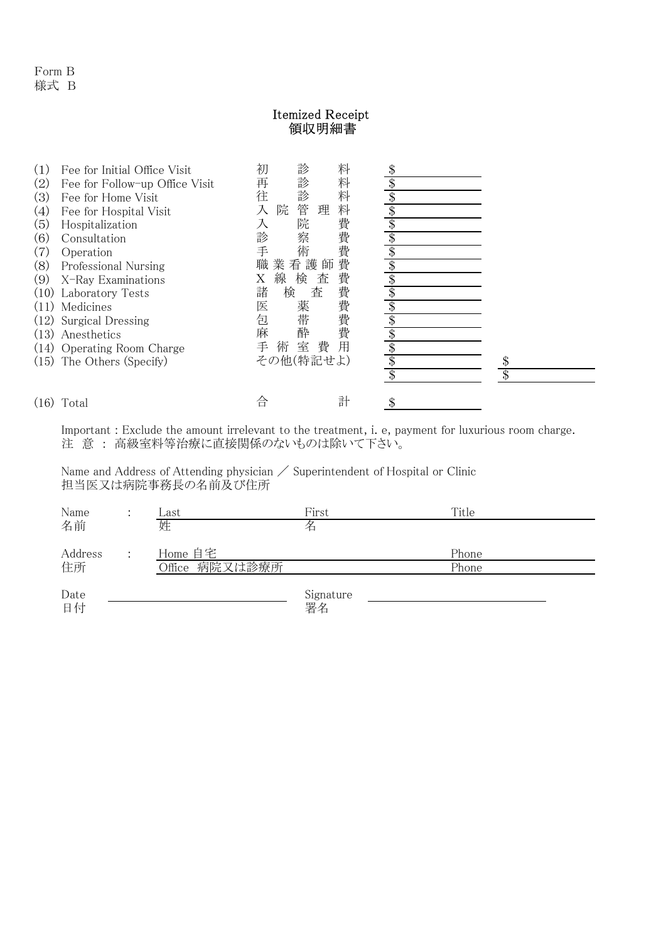## Itemized Receipt 領収明細書

| (1)<br>(2)<br>(3)<br>(4)<br>(5)<br>(6)<br>(7)<br>(8)<br>(9)<br>(11)<br>(12)<br>(13)<br>(14)<br>(15) | Fee for Initial Office Visit<br>Fee for Follow-up Office Visit<br>Fee for Home Visit<br>Fee for Hospital Visit<br>Hospitalization<br>Consultation<br>Operation<br>Professional Nursing<br>X-Ray Examinations<br>(10) Laboratory Tests<br>Medicines<br>Surgical Dressing<br>Anesthetics<br><b>Operating Room Charge</b><br>The Others (Specify) | 診<br>初<br>診<br>再<br>診<br>往<br>管<br>院<br>入<br>院<br>入<br>診<br>察<br>術<br>手<br>職<br>業看護師<br>線<br>検<br>Χ<br>諸<br>検<br>医<br>薬<br>帯<br>包<br>麻<br>酔<br>室<br>手<br>術<br>その他(特記せよ) | 料<br>料<br>料<br>料<br>理<br>費<br>費<br>費<br>費<br>費<br>査<br>費<br>査<br>書費<br>費<br>用<br>費 | \$<br>\$ |
|-----------------------------------------------------------------------------------------------------|------------------------------------------------------------------------------------------------------------------------------------------------------------------------------------------------------------------------------------------------------------------------------------------------------------------------------------------------|-------------------------------------------------------------------------------------------------------------------------------------------------------------------------|------------------------------------------------------------------------------------|----------|
| (16)                                                                                                | Total                                                                                                                                                                                                                                                                                                                                          | 合                                                                                                                                                                       | 計                                                                                  |          |

Important : Exclude the amount irrelevant to the treatment, i. e, payment for luxurious room charge. 注 意 : 高級室料等治療に直接関係のないものは除いて下さい。

Name and Address of Attending physician  $\diagup$  Superintendent of Hospital or Clinic 担当医又は病院事務長の名前及び住所

| Name       | $\therefore$ | Last           | First     | Title |
|------------|--------------|----------------|-----------|-------|
| 名前         |              | 姓              | 名         |       |
| Address    |              | Home 自宅        |           | Phone |
| 住所         |              | Office 病院又は診療所 |           | Phone |
| Date<br>日付 |              |                | Signature |       |
|            |              |                | 署名        |       |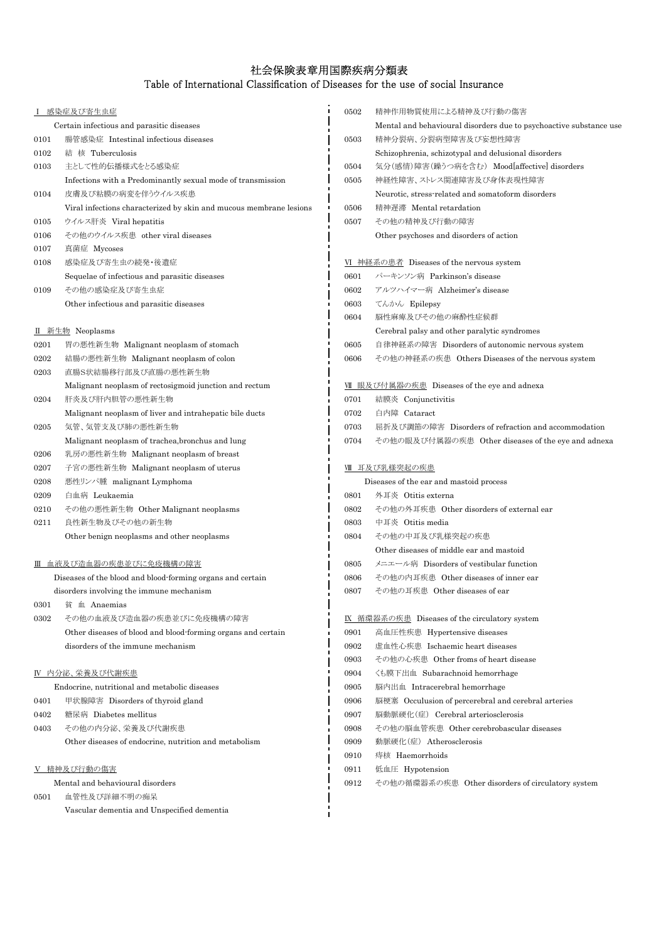## 社会保険表章用国際疾病分類表

## Table of International Classification of Diseases for the use of social Insurance

|            | <u>感染症及び寄生虫症</u>                                                   | 0502 | 精神作用物質使用による精神及び行動の傷害                                               |
|------------|--------------------------------------------------------------------|------|--------------------------------------------------------------------|
|            | Certain infectious and parasitic diseases                          |      | Mental and behavioural disorders due to psychoactive substance use |
| 0101       | 腸管感染症 Intestinal infectious diseases                               | 0503 | 精神分裂病、分裂病型障害及び妄想性障害                                                |
| 0102       | 結 核 Tuberculosis                                                   |      | Schizophrenia, schizotypal and delusional disorders                |
| 0103       | 主として性的伝播様式をとる感染症                                                   | 0504 | 気分(感情)障害(躁うつ病を含む) Mood[affective] disorders                        |
|            | Infections with a Predominantly sexual mode of transmission        | 0505 | 神経性障害、ストレス関連障害及び身体表現性障害                                            |
| 0104       | 皮膚及び粘膜の病変を伴うウイルス疾患                                                 |      | Neurotic, stress-related and somatoform disorders                  |
|            | Viral infections characterized by skin and mucous membrane lesions | 0506 | 精神遅滞 Mental retardation                                            |
| 0105       | ウイルス肝炎 Viral hepatitis                                             | 0507 | その他の精神及び行動の障害                                                      |
| 0106       | その他のウイルス疾患 other viral diseases                                    |      | Other psychoses and disorders of action                            |
| 0107       | 真菌症 Mycoses                                                        |      |                                                                    |
| 0108       | 感染症及び寄生虫の続発・後遺症                                                    |      | <u>VI 神経系の患者</u> Diseases of the nervous system                    |
|            | Sequelae of infectious and parasitic diseases                      | 0601 | パーキンソン病 Parkinson's disease                                        |
| 0109       | その他の感染症及び寄生虫症                                                      | 0602 | アルツハイマー病 Alzheimer's disease                                       |
|            | Other infectious and parasitic diseases                            | 0603 | てんかん Epilepsy                                                      |
|            |                                                                    | 0604 | 脳性麻痺及びその他の麻酔性症候群                                                   |
|            | <b>II</b> 新生物 Neoplasms                                            |      | Cerebral palsy and other paralytic syndromes                       |
| 0201       | 胃の悪性新生物 Malignant neoplasm of stomach                              | 0605 | 自律神経系の障害 Disorders of autonomic nervous system                     |
| 0202       | 結腸の悪性新生物 Malignant neoplasm of colon                               | 0606 | その他の神経系の疾患 Others Diseases of the nervous system                   |
| 0203       | 直腸S状結腸移行部及び直腸の悪性新生物                                                |      |                                                                    |
|            | Malignant neoplasm of rectosigmoid junction and rectum             |      | VII 眼及び付属器の疾患 Diseases of the eye and adnexa                       |
| 0204       | 肝炎及び肝内胆管の悪性新生物                                                     | 0701 | 結膜炎 Conjunctivitis                                                 |
|            | Malignant neoplasm of liver and intrahepatic bile ducts            | 0702 | 白内障 Cataract                                                       |
| 0205       | 気管、気管支及び肺の悪性新生物                                                    | 0703 | 屈折及び調節の障害 Disorders of refraction and accommodation                |
|            | Malignant neoplasm of trachea, bronchus and lung                   | 0704 | その他の眼及び付属器の疾患 Other diseases of the eye and adnexa                 |
| 0206       | 乳房の悪性新生物 Malignant neoplasm of breast                              |      |                                                                    |
| 0207       | 子宮の悪性新生物 Malignant neoplasm of uterus                              |      | <u>Ⅷ 耳及び乳様突起の疾患</u>                                                |
| 0208       | 悪性リンパ腫 malignant Lymphoma                                          |      | Diseases of the ear and mastoid process                            |
| 0209       | 白血病 Leukaemia                                                      | 0801 | 外耳炎 Otitis externa                                                 |
| 0210       | その他の悪性新生物 Other Malignant neoplasms                                | 0802 | その他の外耳疾患 Other disorders of external ear                           |
| 0211       | 良性新生物及びその他の新生物                                                     | 0803 | 中耳炎 Otitis media                                                   |
|            | Other benign neoplasms and other neoplasms                         | 0804 | その他の中耳及び乳様突起の疾患                                                    |
|            |                                                                    |      | Other diseases of middle ear and mastoid                           |
|            | Ⅲ 血液及び造血器の疾患並びに免疫機構の障害                                             | 0805 | メニエール病 Disorders of vestibular function                            |
|            | Diseases of the blood and blood-forming organs and certain         | 0806 | その他の内耳疾患 Other diseases of inner ear                               |
|            | disorders involving the immune mechanism                           | 0807 | その他の耳疾患 Other diseases of ear                                      |
| $\,0301\,$ | 貧 血 Anaemias                                                       |      |                                                                    |
| 0302       | その他の血液及び造血器の疾患並びに免疫機構の障害                                           |      | <b>IX 循環器系の疾患 Diseases of the circulatory system</b>               |
|            | Other diseases of blood and blood-forming organs and certain       | 0901 | 高血圧性疾患 Hypertensive diseases                                       |
|            | disorders of the immune mechanism                                  | 0902 | 虚血性心疾患 Ischaemic heart diseases                                    |
|            |                                                                    | 0903 | その他の心疾患 Other froms of heart disease                               |
|            | IV 内分泌、栄養及び代謝疾患                                                    | 0904 | くも膜下出血 Subarachnoid hemorrhage                                     |
|            | Endocrine, nutritional and metabolic diseases                      | 0905 | 脳内出血 Intracerebral hemorrhage                                      |
| 0401       | 甲状腺障害 Disorders of thyroid gland                                   | 0906 | 脳梗塞 Occulusion of percerebral and cerebral arteries                |
| 0402       | 糖尿病 Diabetes mellitus                                              | 0907 | 脳動脈硬化(症) Cerebral arteriosclerosis                                 |
| 0403       | その他の内分泌、栄養及び代謝疾患                                                   | 0908 | その他の脳血管疾患 Other cerebrobascular diseases                           |
|            | Other diseases of endocrine, nutrition and metabolism              | 0909 | 動脈硬化(症) Atherosclerosis                                            |
|            |                                                                    | 0910 | 痔核 Haemorrhoids                                                    |
|            | Ⅴ 精神及び行動の傷害                                                        | 0911 | 低血圧 Hypotension                                                    |
|            | Mental and behavioural disorders<br>血管性及び詳細不明の痴呆                   | 0912 | その他の循環器系の疾患 Other disorders of circulatory system                  |
| 0501       | Vascular dementia and Unspecified dementia                         |      |                                                                    |
|            |                                                                    |      |                                                                    |
|            |                                                                    |      |                                                                    |